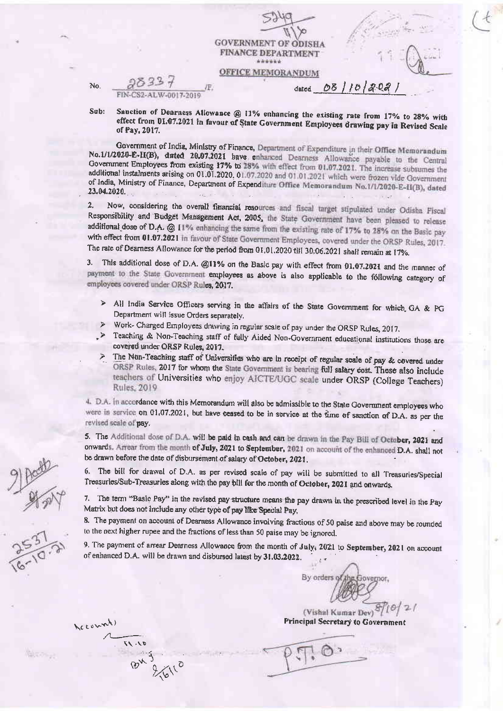| <b>GOVERNMENT OF ODISHA</b><br><b>FINANCE DEPARTMENT</b><br>****** |  |
|--------------------------------------------------------------------|--|
| <b>FICE MEMORANDUM</b><br>101202<br>dated                          |  |

No. FIN-CS2-ALW-0017-2019

Sanction of Dearness Allowance @ 11% enhancing the existing rate from 17% to 28% with Sub: effect from 01.07.2021 in favour of State Government Employees drawing pay in Revised Scale of Pav. 2017.

Government of India, Ministry of Finance, Department of Expenditure in their Office Memorandum No.1/1/2020-E-II(B), dated 20.07.2021 have enhanced Dearness Allowance payable to the Central Government Employees from existing 17% to 28% with effect from 01.07.2021. The increase subsumes the additional instalments arising on 01.01.2020, 01.07.2020 and 01.01.2021 which were frozen vide Government of India, Ministry of Finance, Department of Expenditure Office Memorandum No.1/1/2020-E-II(B), dated  $23.04.2020$ 

Now, considering the overall financial resources and fiscal target stipulated under Odisha Fiscal  $2.$ Responsibility and Budget Management Act, 2005, the State Government have been pleased to release additional dose of D.A. @ 11% enhancing the same from the existing rate of 17% to 28% on the Basic pay with effect from 01.07.2021 in favour of State Government Employees, covered under the ORSP Rules, 2017. The rate of Dearness Allowance for the period from 01.01.2020 till 30.06.2021 shall remain at 17%.

3. This additional dose of D.A. @11% on the Basic pay with effect from 01.07.2021 and the manner of payment to the State Government employees as above is also applicable to the fóllowing category of employees covered under ORSP Rules, 2017.

- > All India Service Officers serving in the affairs of the State Government for which GA & PG Department will issue Orders separately.
- > Work- Charged Employees drawing in regular scale of pay under the ORSP Rules, 2017.
- > Teaching & Non-Teaching staff of fully Aided Non-Government educational institutions those are covered under ORSP Rules, 2017.
- > The Non-Teaching staff of Universities who are in receipt of regular scale of pay & covered under ORSP Rules, 2017 for whom the State Government is bearing full salary cost. These also include teachers of Universities who enjoy AICTE/UGC scale under ORSP (College Teachers) Rules, 2019

4. D.A. In accordance with this Memorandum will also be admissible to the State Government employees who were in service on 01,07.2021, but have ceased to be in service at the time of sanction of D.A. as per the revised scale of pay.

5. The Additional dose of D.A. will be paid in cash and can be drawn in the Pay Bill of October, 2021 and onwards. Arrear from the month of July, 2021 to September, 2021 on account of the enhanced D.A. shall not be drawn before the date of disbursement of salary of October, 2021.

6. The bill for drawal of D.A. as per revised scale of pay will be submitted to all Treasuries/Special Treasuries/Sub-Treasuries along with the pay bill for the month of October, 2021 and onwards.

7. The term "Basic Pay" in the revised pay structure means the pay drawn in the prescribed level in the Pay Matrix but does not include any other type of pay like Special Pay,

8. The payment on account of Dearness Allowance involving fractions of 50 paise and above may be rounded to the next higher rupee and the fractions of less than 50 paise may be ignored.

9. The payment of arrear Dearness Allowance from the month of July; 2021 to September, 2021 on account of enhanced D.A. will be drawn and disbursed latest by 31.03.2022.

By orders

(Vishal Kumar Dev) Principal Secretary to Government

Account)

 $91.11$